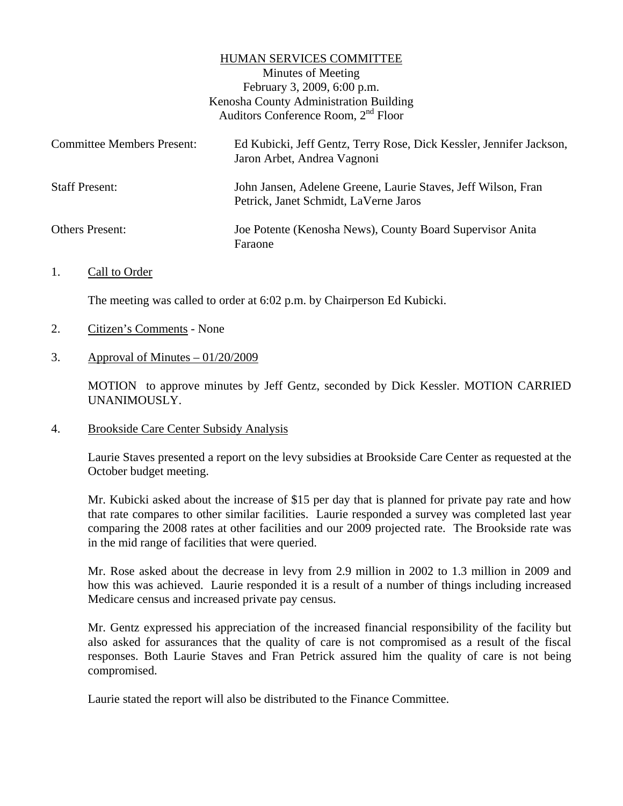## HUMAN SERVICES COMMITTEE

Minutes of Meeting February 3, 2009, 6:00 p.m. Kenosha County Administration Building Auditors Conference Room, 2nd Floor

| <b>Committee Members Present:</b> | Ed Kubicki, Jeff Gentz, Terry Rose, Dick Kessler, Jennifer Jackson,<br>Jaron Arbet, Andrea Vagnoni     |
|-----------------------------------|--------------------------------------------------------------------------------------------------------|
| <b>Staff Present:</b>             | John Jansen, Adelene Greene, Laurie Staves, Jeff Wilson, Fran<br>Petrick, Janet Schmidt, LaVerne Jaros |
| <b>Others Present:</b>            | Joe Potente (Kenosha News), County Board Supervisor Anita<br>Faraone                                   |

1. Call to Order

The meeting was called to order at 6:02 p.m. by Chairperson Ed Kubicki.

- 2. Citizen's Comments None
- 3. Approval of Minutes  $-01/20/2009$

MOTION to approve minutes by Jeff Gentz, seconded by Dick Kessler. MOTION CARRIED UNANIMOUSLY.

4. Brookside Care Center Subsidy Analysis

Laurie Staves presented a report on the levy subsidies at Brookside Care Center as requested at the October budget meeting.

 Mr. Kubicki asked about the increase of \$15 per day that is planned for private pay rate and how that rate compares to other similar facilities. Laurie responded a survey was completed last year comparing the 2008 rates at other facilities and our 2009 projected rate. The Brookside rate was in the mid range of facilities that were queried.

 Mr. Rose asked about the decrease in levy from 2.9 million in 2002 to 1.3 million in 2009 and how this was achieved. Laurie responded it is a result of a number of things including increased Medicare census and increased private pay census.

 Mr. Gentz expressed his appreciation of the increased financial responsibility of the facility but also asked for assurances that the quality of care is not compromised as a result of the fiscal responses. Both Laurie Staves and Fran Petrick assured him the quality of care is not being compromised.

Laurie stated the report will also be distributed to the Finance Committee.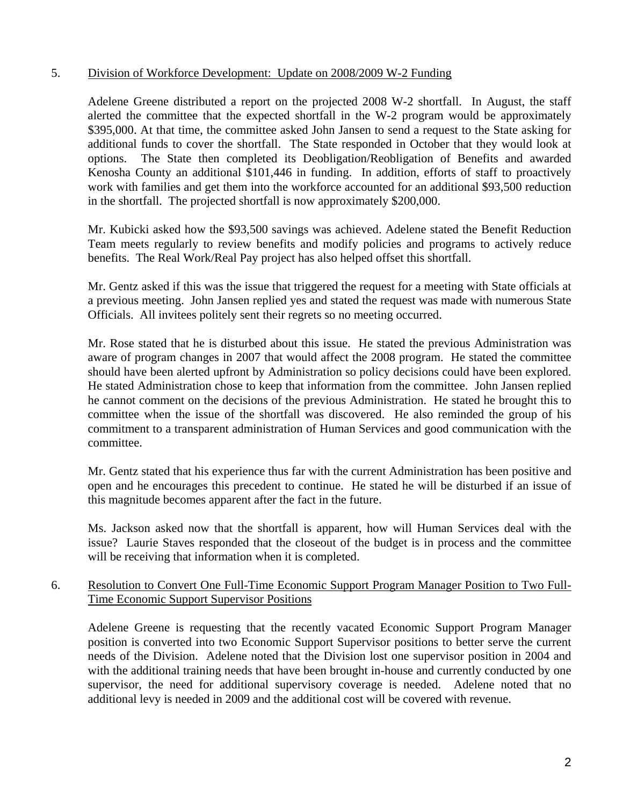## 5. Division of Workforce Development: Update on 2008/2009 W-2 Funding

Adelene Greene distributed a report on the projected 2008 W-2 shortfall. In August, the staff alerted the committee that the expected shortfall in the W-2 program would be approximately \$395,000. At that time, the committee asked John Jansen to send a request to the State asking for additional funds to cover the shortfall. The State responded in October that they would look at options. The State then completed its Deobligation/Reobligation of Benefits and awarded Kenosha County an additional \$101,446 in funding. In addition, efforts of staff to proactively work with families and get them into the workforce accounted for an additional \$93,500 reduction in the shortfall. The projected shortfall is now approximately \$200,000.

Mr. Kubicki asked how the \$93,500 savings was achieved. Adelene stated the Benefit Reduction Team meets regularly to review benefits and modify policies and programs to actively reduce benefits. The Real Work/Real Pay project has also helped offset this shortfall.

Mr. Gentz asked if this was the issue that triggered the request for a meeting with State officials at a previous meeting. John Jansen replied yes and stated the request was made with numerous State Officials. All invitees politely sent their regrets so no meeting occurred.

Mr. Rose stated that he is disturbed about this issue. He stated the previous Administration was aware of program changes in 2007 that would affect the 2008 program. He stated the committee should have been alerted upfront by Administration so policy decisions could have been explored. He stated Administration chose to keep that information from the committee. John Jansen replied he cannot comment on the decisions of the previous Administration. He stated he brought this to committee when the issue of the shortfall was discovered. He also reminded the group of his commitment to a transparent administration of Human Services and good communication with the committee.

Mr. Gentz stated that his experience thus far with the current Administration has been positive and open and he encourages this precedent to continue. He stated he will be disturbed if an issue of this magnitude becomes apparent after the fact in the future.

Ms. Jackson asked now that the shortfall is apparent, how will Human Services deal with the issue? Laurie Staves responded that the closeout of the budget is in process and the committee will be receiving that information when it is completed.

## 6. Resolution to Convert One Full-Time Economic Support Program Manager Position to Two Full-Time Economic Support Supervisor Positions

Adelene Greene is requesting that the recently vacated Economic Support Program Manager position is converted into two Economic Support Supervisor positions to better serve the current needs of the Division. Adelene noted that the Division lost one supervisor position in 2004 and with the additional training needs that have been brought in-house and currently conducted by one supervisor, the need for additional supervisory coverage is needed. Adelene noted that no additional levy is needed in 2009 and the additional cost will be covered with revenue.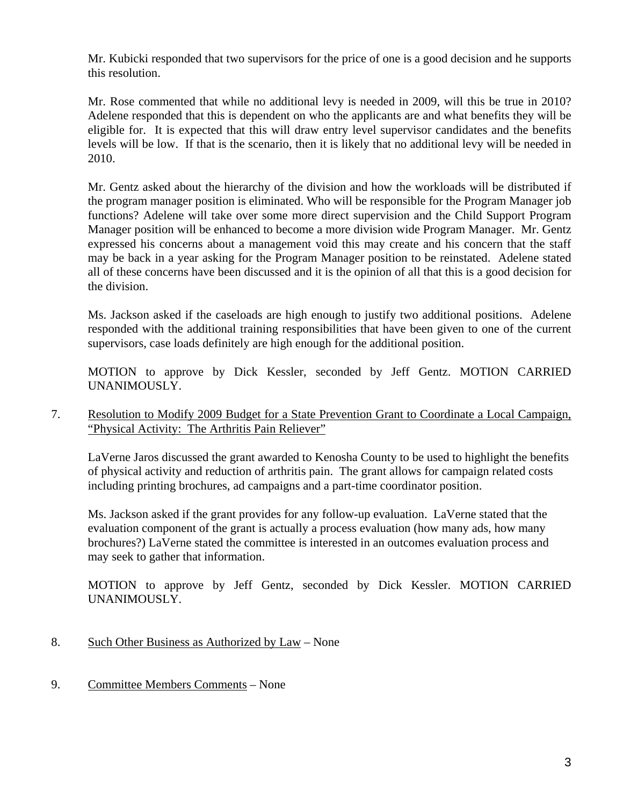Mr. Kubicki responded that two supervisors for the price of one is a good decision and he supports this resolution.

Mr. Rose commented that while no additional levy is needed in 2009, will this be true in 2010? Adelene responded that this is dependent on who the applicants are and what benefits they will be eligible for. It is expected that this will draw entry level supervisor candidates and the benefits levels will be low. If that is the scenario, then it is likely that no additional levy will be needed in 2010.

Mr. Gentz asked about the hierarchy of the division and how the workloads will be distributed if the program manager position is eliminated. Who will be responsible for the Program Manager job functions? Adelene will take over some more direct supervision and the Child Support Program Manager position will be enhanced to become a more division wide Program Manager. Mr. Gentz expressed his concerns about a management void this may create and his concern that the staff may be back in a year asking for the Program Manager position to be reinstated. Adelene stated all of these concerns have been discussed and it is the opinion of all that this is a good decision for the division.

Ms. Jackson asked if the caseloads are high enough to justify two additional positions. Adelene responded with the additional training responsibilities that have been given to one of the current supervisors, case loads definitely are high enough for the additional position.

MOTION to approve by Dick Kessler, seconded by Jeff Gentz. MOTION CARRIED UNANIMOUSLY.

7. Resolution to Modify 2009 Budget for a State Prevention Grant to Coordinate a Local Campaign, "Physical Activity: The Arthritis Pain Reliever"

 LaVerne Jaros discussed the grant awarded to Kenosha County to be used to highlight the benefits of physical activity and reduction of arthritis pain. The grant allows for campaign related costs including printing brochures, ad campaigns and a part-time coordinator position.

 Ms. Jackson asked if the grant provides for any follow-up evaluation. LaVerne stated that the evaluation component of the grant is actually a process evaluation (how many ads, how many brochures?) LaVerne stated the committee is interested in an outcomes evaluation process and may seek to gather that information.

MOTION to approve by Jeff Gentz, seconded by Dick Kessler. MOTION CARRIED UNANIMOUSLY.

- 8. Such Other Business as Authorized by Law None
- 9. Committee Members Comments None